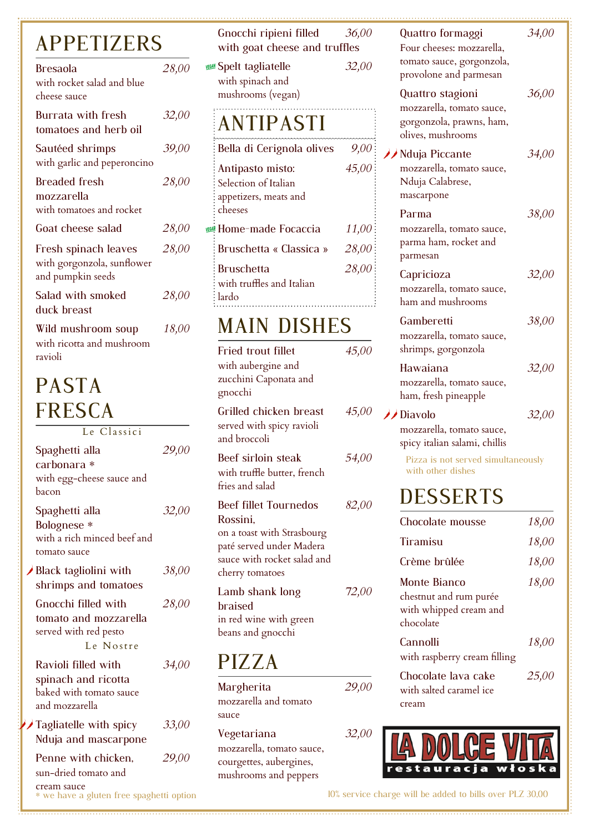# APPETIZERS

| <b>Bresaola</b><br>with rocket salad and blue<br>cheese sauce           | 28,00 |
|-------------------------------------------------------------------------|-------|
| <b>Burrata with fresh</b><br>tomatoes and herb oil                      | 32,00 |
| Sautéed shrimps<br>with garlic and peperoncino                          | 39,00 |
| Breaded fresh<br>mozzarella<br>with tomatoes and rocket                 | 28,00 |
| Goat cheese salad                                                       | 28,00 |
| Fresh spinach leaves<br>with gorgonzola, sunflower<br>and pumpkin seeds | 28,00 |
| Salad with smoked<br>duck breast                                        | 28,00 |
| Wild mushroom soup<br>with ricotta and mushroom                         | 18,00 |

# PASTA FRESCA

ravioli

Le Classici

| Spaghetti alla<br>carbonara *<br>with egg-cheese sauce and<br>bacon                                    | 29,00 |
|--------------------------------------------------------------------------------------------------------|-------|
| Spaghetti alla<br>Bolognese *<br>with a rich minced beef and<br>tomato sauce                           | 32,00 |
| Black tagliolini with<br>shrimps and tomatoes                                                          | 38,00 |
| Gnocchi filled with<br>tomato and mozzarella<br>served with red pesto<br>Le Nostre                     | 28,00 |
| Ravioli filled with<br>spinach and ricotta<br>baked with tomato sauce<br>and mozzarella                | 34,00 |
| Tagliatelle with spicy<br>Nduja and mascarpone                                                         | 33,00 |
| Penne with chicken,<br>sun-dried tomato and<br>cream sauce<br>* we have a gluten free spaghetti option | 29,00 |

| Gnocchi ripieni filled<br>with goat cheese and truffles                                                                                              | 36,00 |
|------------------------------------------------------------------------------------------------------------------------------------------------------|-------|
| <b>Spelt tagliatelle</b><br>with spinach and<br>mushrooms (vegan)                                                                                    | 32,00 |
| <b>ANTIPASTI</b>                                                                                                                                     |       |
| Bella di Cerignola olives                                                                                                                            | 9,00  |
| Antipasto misto:<br>Selection of Italian<br>appetizers, meats and<br>cheeses                                                                         | 45,00 |
| Home-made Focaccia                                                                                                                                   | 11,00 |
| Bruschetta « Classica »                                                                                                                              | 28,00 |
| <b>Bruschetta</b><br>with truffles and Italian<br>lardo                                                                                              | 28,00 |
| <b>MAIN DISHES</b>                                                                                                                                   |       |
| <b>Fried trout fillet</b><br>with aubergine and<br>zucchini Caponata and<br>gnocchi                                                                  | 45,00 |
| Grilled chicken breast<br>served with spicy ravioli<br>and broccoli                                                                                  | 45,00 |
| Beef sirloin steak<br>with truffle butter, french<br>fries and salad                                                                                 | 54,00 |
| <b>Beef fillet Tournedos</b><br>Rossini,<br>on a toast with Strasbourg<br>paté served under Madera<br>sauce with rocket salad and<br>cherry tomatoes | 82,00 |
| Lamb shank long<br>braised<br>in red wine with green<br>beans and gnocchi                                                                            | 72,00 |
| PIZZA                                                                                                                                                |       |

#### Margherita *29,00* mozzarella and tomato sauce Vegetariana *32,00* mozzarella, tomato sauce, courgettes, aubergines, mushrooms and peppers

| Quattro formaggi<br>Four cheeses: mozzarella,<br>tomato sauce, gorgonzola,<br>provolone and parmesan | 34,00 |
|------------------------------------------------------------------------------------------------------|-------|
| Quattro stagioni<br>mozzarella, tomato sauce,<br>gorgonzola, prawns, ham,<br>olives, mushrooms       | 36,00 |
| ◆ Nduja Piccante<br>mozzarella, tomato sauce,<br>Nduja Calabrese,<br>mascarpone                      | 34,00 |
| Parma<br>mozzarella, tomato sauce,<br>parma ham, rocket and<br>parmesan                              | 38,00 |
| Capricioza<br>mozzarella, tomato sauce,<br>ham and mushrooms                                         | 32,00 |
| Gamberetti<br>mozzarella, tomato sauce,<br>shrimps, gorgonzola                                       | 38,00 |
| Hawaiana<br>mozzarella, tomato sauce,<br>ham, fresh pineapple                                        | 32,00 |
| Diavolo<br>mozzarella, tomato sauce,<br>spicy italian salami, chillis                                | 32,00 |
| Pizza is not served simultaneously<br>with other dishes                                              |       |
| <b>DESSERTS</b>                                                                                      |       |
| Chocolate mousse                                                                                     | 18,00 |
| Tiramisu                                                                                             | 18,00 |
| Crème brûlée                                                                                         | 18,00 |
| <b>Monte Bianco</b>                                                                                  | 18,00 |
| chestnut and rum purée<br>with whipped cream and<br>chocolate                                        |       |
| Cannolli<br>with raspberry cream filling                                                             | 18,00 |
| Chocolate lava cake<br>with salted caramel ice<br>cream                                              | 25,00 |
|                                                                                                      |       |



10% service charge will be added to bills over PLZ 30,00